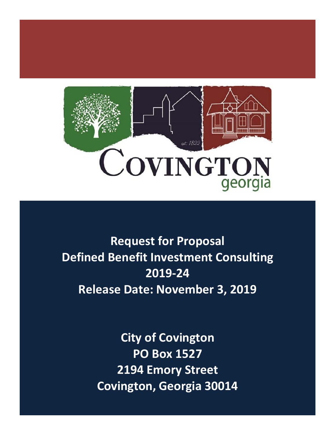

**Request for Proposal Defined Benefit Investment Consulting 2019-24 Release Date: November 3, 2019**

> **City of Covington PO Box 1527 2194 Emory Street Covington, Georgia 30014**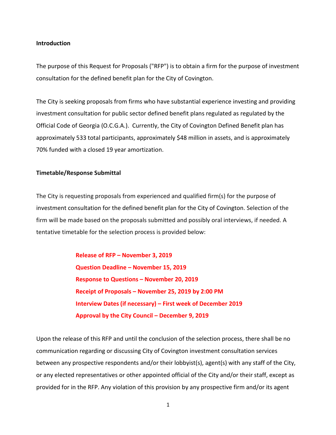#### **Introduction**

The purpose of this Request for Proposals ("RFP") is to obtain a firm for the purpose of investment consultation for the defined benefit plan for the City of Covington.

The City is seeking proposals from firms who have substantial experience investing and providing investment consultation for public sector defined benefit plans regulated as regulated by the Official Code of Georgia (O.C.G.A.). Currently, the City of Covington Defined Benefit plan has approximately 533 total participants, approximately \$48 million in assets, and is approximately 70% funded with a closed 19 year amortization.

#### **Timetable/Response Submittal**

The City is requesting proposals from experienced and qualified firm(s) for the purpose of investment consultation for the defined benefit plan for the City of Covington. Selection of the firm will be made based on the proposals submitted and possibly oral interviews, if needed. A tentative timetable for the selection process is provided below:

> **Release of RFP – November 3, 2019 Question Deadline – November 15, 2019 Response to Questions – November 20, 2019 Receipt of Proposals – November 25, 2019 by 2:00 PM Interview Dates (if necessary) – First week of December 2019 Approval by the City Council – December 9, 2019**

Upon the release of this RFP and until the conclusion of the selection process, there shall be no communication regarding or discussing City of Covington investment consultation services between any prospective respondents and/or their lobbyist(s), agent(s) with any staff of the City, or any elected representatives or other appointed official of the City and/or their staff, except as provided for in the RFP. Any violation of this provision by any prospective firm and/or its agent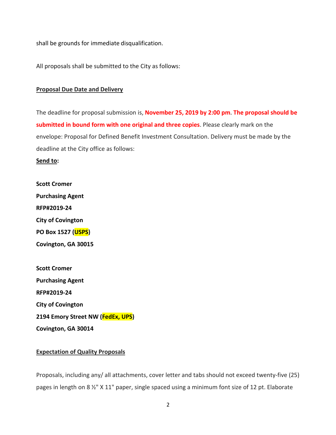shall be grounds for immediate disqualification.

All proposals shall be submitted to the City as follows:

#### **Proposal Due Date and Delivery**

The deadline for proposal submission is, **November 25, 2019 by 2:00 pm**. **The proposal should be submitted in bound form with one original and three copies**. Please clearly mark on the envelope: Proposal for Defined Benefit Investment Consultation. Delivery must be made by the deadline at the City office as follows:

**Send to:**

**Scott Cromer Purchasing Agent RFP#2019-24 City of Covington PO Box 1527 (USPS) Covington, GA 30015**

**Scott Cromer Purchasing Agent RFP#2019-24 City of Covington 2194 Emory Street NW (FedEx, UPS) Covington, GA 30014**

# **Expectation of Quality Proposals**

Proposals, including any/ all attachments, cover letter and tabs should not exceed twenty-five (25) pages in length on 8 ½" X 11" paper, single spaced using a minimum font size of 12 pt. Elaborate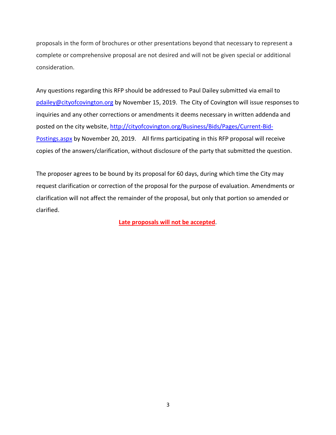proposals in the form of brochures or other presentations beyond that necessary to represent a complete or comprehensive proposal are not desired and will not be given special or additional consideration.

Any questions regarding this RFP should be addressed to Paul Dailey submitted via email to [pdailey@cityofcovington.org](mailto:pdailey@cityofcovington.org) by November 15, 2019. The City of Covington will issue responses to inquiries and any other corrections or amendments it deems necessary in written addenda and posted on the city website[, http://cityofcovington.org/Business/Bids/Pages/Current-Bid-](http://cityofcovington.org/Business/Bids/Pages/Current-Bid-Postings.aspx)[Postings.aspx](http://cityofcovington.org/Business/Bids/Pages/Current-Bid-Postings.aspx) by November 20, 2019. All firms participating in this RFP proposal will receive copies of the answers/clarification, without disclosure of the party that submitted the question.

The proposer agrees to be bound by its proposal for 60 days, during which time the City may request clarification or correction of the proposal for the purpose of evaluation. Amendments or clarification will not affect the remainder of the proposal, but only that portion so amended or clarified.

**Late proposals will not be accepted**.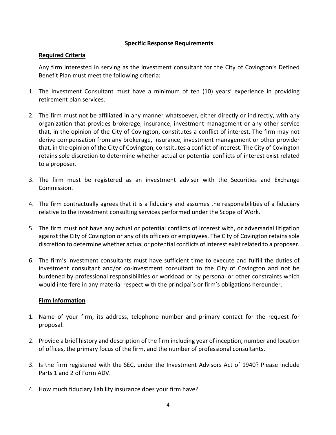# **Specific Response Requirements**

### **Required Criteria**

Any firm interested in serving as the investment consultant for the City of Covington's Defined Benefit Plan must meet the following criteria:

- 1. The Investment Consultant must have a minimum of ten (10) years' experience in providing retirement plan services.
- 2. The firm must not be affiliated in any manner whatsoever, either directly or indirectly, with any organization that provides brokerage, insurance, investment management or any other service that, in the opinion of the City of Covington, constitutes a conflict of interest. The firm may not derive compensation from any brokerage, insurance, investment management or other provider that, in the opinion of the City of Covington, constitutes a conflict of interest. The City of Covington retains sole discretion to determine whether actual or potential conflicts of interest exist related to a proposer.
- 3. The firm must be registered as an investment adviser with the Securities and Exchange Commission.
- 4. The firm contractually agrees that it is a fiduciary and assumes the responsibilities of a fiduciary relative to the investment consulting services performed under the Scope of Work.
- 5. The firm must not have any actual or potential conflicts of interest with, or adversarial litigation against the City of Covington or any of its officers or employees. The City of Covington retains sole discretion to determine whether actual or potential conflicts of interest exist related to a proposer.
- 6. The firm's investment consultants must have sufficient time to execute and fulfill the duties of investment consultant and/or co-investment consultant to the City of Covington and not be burdened by professional responsibilities or workload or by personal or other constraints which would interfere in any material respect with the principal's or firm's obligations hereunder.

# **Firm Information**

- 1. Name of your firm, its address, telephone number and primary contact for the request for proposal.
- 2. Provide a brief history and description of the firm including year of inception, number and location of offices, the primary focus of the firm, and the number of professional consultants.
- 3. Is the firm registered with the SEC, under the Investment Advisors Act of 1940? Please include Parts 1 and 2 of Form ADV.
- 4. How much fiduciary liability insurance does your firm have?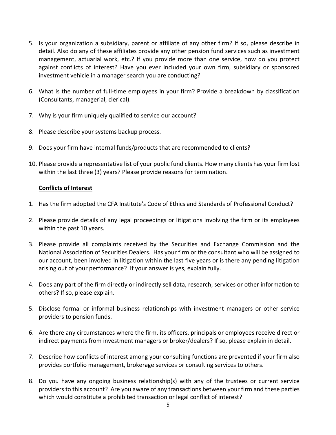- 5. Is your organization a subsidiary, parent or affiliate of any other firm? If so, please describe in detail. Also do any of these affiliates provide any other pension fund services such as investment management, actuarial work, etc.? If you provide more than one service, how do you protect against conflicts of interest? Have you ever included your own firm, subsidiary or sponsored investment vehicle in a manager search you are conducting?
- 6. What is the number of full-time employees in your firm? Provide a breakdown by classification (Consultants, managerial, clerical).
- 7. Why is your firm uniquely qualified to service our account?
- 8. Please describe your systems backup process.
- 9. Does your firm have internal funds/products that are recommended to clients?
- 10. Please provide a representative list of your public fund clients. How many clients has your firm lost within the last three (3) years? Please provide reasons for termination.

# **Conflicts of Interest**

- 1. Has the firm adopted the CFA Institute's Code of Ethics and Standards of Professional Conduct?
- 2. Please provide details of any legal proceedings or litigations involving the firm or its employees within the past 10 years.
- 3. Please provide all complaints received by the Securities and Exchange Commission and the National Association of Securities Dealers. Has your firm or the consultant who will be assigned to our account, been involved in litigation within the last five years or is there any pending litigation arising out of your performance? If your answer is yes, explain fully.
- 4. Does any part of the firm directly or indirectly sell data, research, services or other information to others? If so, please explain.
- 5. Disclose formal or informal business relationships with investment managers or other service providers to pension funds.
- 6. Are there any circumstances where the firm, its officers, principals or employees receive direct or indirect payments from investment managers or broker/dealers? If so, please explain in detail.
- 7. Describe how conflicts of interest among your consulting functions are prevented if your firm also provides portfolio management, brokerage services or consulting services to others.
- 8. Do you have any ongoing business relationship(s) with any of the trustees or current service providers to this account? Are you aware of any transactions between your firm and these parties which would constitute a prohibited transaction or legal conflict of interest?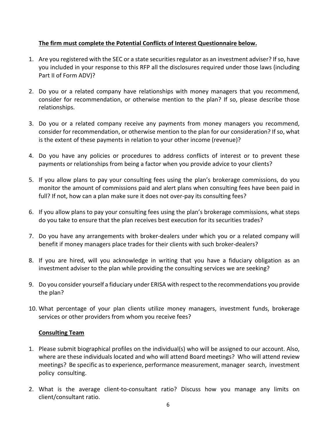# **The firm must complete the Potential Conflicts of Interest Questionnaire below.**

- 1. Are you registered with the SEC or a state securities regulator as an investment adviser? If so, have you included in your response to this RFP all the disclosures required under those laws (including Part II of Form ADV)?
- 2. Do you or a related company have relationships with money managers that you recommend, consider for recommendation, or otherwise mention to the plan? If so, please describe those relationships.
- 3. Do you or a related company receive any payments from money managers you recommend, consider for recommendation, or otherwise mention to the plan for our consideration? If so, what is the extent of these payments in relation to your other income (revenue)?
- 4. Do you have any policies or procedures to address conflicts of interest or to prevent these payments or relationships from being a factor when you provide advice to your clients?
- 5. If you allow plans to pay your consulting fees using the plan's brokerage commissions, do you monitor the amount of commissions paid and alert plans when consulting fees have been paid in full? If not, how can a plan make sure it does not over-pay its consulting fees?
- 6. If you allow plans to pay your consulting fees using the plan's brokerage commissions, what steps do you take to ensure that the plan receives best execution for its securities trades?
- 7. Do you have any arrangements with broker-dealers under which you or a related company will benefit if money managers place trades for their clients with such broker-dealers?
- 8. If you are hired, will you acknowledge in writing that you have a fiduciary obligation as an investment adviser to the plan while providing the consulting services we are seeking?
- 9. Do you consider yourself a fiduciary under ERISA with respect to the recommendations you provide the plan?
- 10. What percentage of your plan clients utilize money managers, investment funds, brokerage services or other providers from whom you receive fees?

# **Consulting Team**

- 1. Please submit biographical profiles on the individual(s) who will be assigned to our account. Also, where are these individuals located and who will attend Board meetings? Who will attend review meetings? Be specific as to experience, performance measurement, manager search, investment policy consulting.
- 2. What is the average client-to-consultant ratio? Discuss how you manage any limits on client/consultant ratio.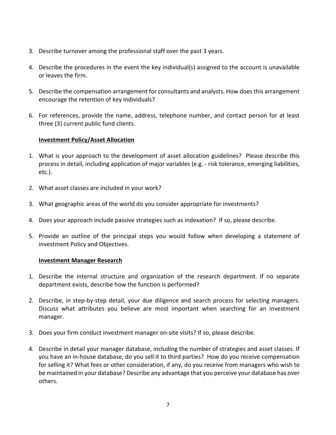- 3. Describe turnover among the professional staff over the past 3 years.
- 4. Describe the procedures in the event the key individual(s) assigned to the account is unavailable or leaves the firm.
- 5. Describe the compensation arrangement for consultants and analysts. How does this arrangement encourage the retention of key individuals?
- 6. For references, provide the name, address, telephone number, and contact person for at least three (3) current public fund clients.

# **Investment Policy/Asset Allocation**

- 1. What is your approach to the development of asset allocation guidelines? Please describe this process in detail, including application of major variables (e.g. - risk tolerance, emerging liabilities, etc.).
- 2. What asset classes are included in your work?
- 3. What geographic areas of the world do you consider appropriate for investments?
- 4. Does your approach include passive strategies such as indexation? If so, please describe.
- 5. Provide an outline of the principal steps you would follow when developing a statement of investment Policy and Objectives.

# **Investment Manager Research**

- 1. Describe the internal structure and organization of the research department. If no separate department exists, describe how the function is performed?
- 2. Describe, in step-by-step detail, your due diligence and search process for selecting managers. Discuss what attributes you believe are most important when searching for an investment manager.
- 3. Does your firm conduct investment manager on-site visits? If so, please describe.
- 4. Describe in detail your manager database, including the number of strategies and asset classes. If you have an in-house database, do you sell it to third parties? How do you receive compensation for selling it? What fees or other consideration, if any, do you receive from managers who wish to be maintained in your database? Describe any advantage that you perceive your database has over others.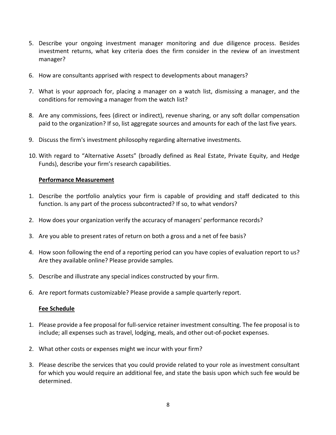- 5. Describe your ongoing investment manager monitoring and due diligence process. Besides investment returns, what key criteria does the firm consider in the review of an investment manager?
- 6. How are consultants apprised with respect to developments about managers?
- 7. What is your approach for, placing a manager on a watch list, dismissing a manager, and the conditions for removing a manager from the watch list?
- 8. Are any commissions, fees (direct or indirect), revenue sharing, or any soft dollar compensation paid to the organization? If so, list aggregate sources and amounts for each of the last five years.
- 9. Discuss the firm's investment philosophy regarding alternative investments.
- 10. With regard to "Alternative Assets" (broadly defined as Real Estate, Private Equity, and Hedge Funds), describe your firm's research capabilities.

# **Performance Measurement**

- 1. Describe the portfolio analytics your firm is capable of providing and staff dedicated to this function. Is any part of the process subcontracted? If so, to what vendors?
- 2. How does your organization verify the accuracy of managers' performance records?
- 3. Are you able to present rates of return on both a gross and a net of fee basis?
- 4. How soon following the end of a reporting period can you have copies of evaluation report to us? Are they available online? Please provide samples.
- 5. Describe and illustrate any special indices constructed by your firm.
- 6. Are report formats customizable? Please provide a sample quarterly report.

# **Fee Schedule**

- 1. Please provide a fee proposal for full-service retainer investment consulting. The fee proposal is to include; all expenses such as travel, lodging, meals, and other out-of-pocket expenses.
- 2. What other costs or expenses might we incur with your firm?
- 3. Please describe the services that you could provide related to your role as investment consultant for which you would require an additional fee, and state the basis upon which such fee would be determined.